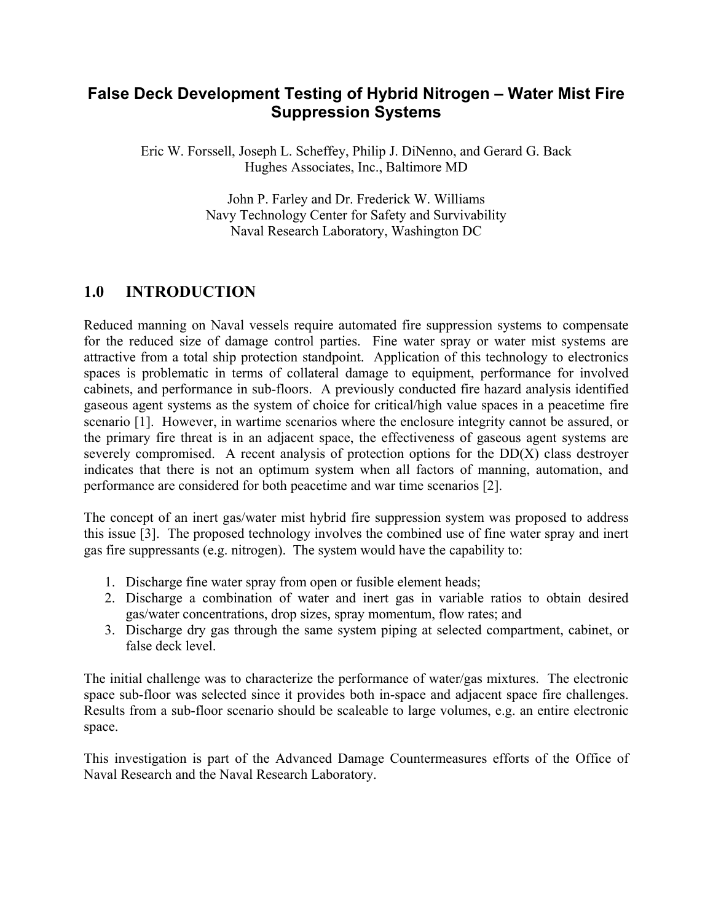# **False Deck Development Testing of Hybrid Nitrogen – Water Mist Fire Suppression Systems**

Eric W. Forssell, Joseph L. Scheffey, Philip J. DiNenno, and Gerard G. Back Hughes Associates, Inc., Baltimore MD

> John P. Farley and Dr. Frederick W. Williams Navy Technology Center for Safety and Survivability Naval Research Laboratory, Washington DC

# **1.0 INTRODUCTION**

Reduced manning on Naval vessels require automated fire suppression systems to compensate for the reduced size of damage control parties. Fine water spray or water mist systems are attractive from a total ship protection standpoint. Application of this technology to electronics spaces is problematic in terms of collateral damage to equipment, performance for involved cabinets, and performance in sub-floors. A previously conducted fire hazard analysis identified gaseous agent systems as the system of choice for critical/high value spaces in a peacetime fire scenario [1]. However, in wartime scenarios where the enclosure integrity cannot be assured, or the primary fire threat is in an adjacent space, the effectiveness of gaseous agent systems are severely compromised. A recent analysis of protection options for the DD(X) class destroyer indicates that there is not an optimum system when all factors of manning, automation, and performance are considered for both peacetime and war time scenarios [2].

The concept of an inert gas/water mist hybrid fire suppression system was proposed to address this issue [3]. The proposed technology involves the combined use of fine water spray and inert gas fire suppressants (e.g. nitrogen). The system would have the capability to:

- 1. Discharge fine water spray from open or fusible element heads;
- 2. Discharge a combination of water and inert gas in variable ratios to obtain desired gas/water concentrations, drop sizes, spray momentum, flow rates; and
- 3. Discharge dry gas through the same system piping at selected compartment, cabinet, or false deck level.

The initial challenge was to characterize the performance of water/gas mixtures. The electronic space sub-floor was selected since it provides both in-space and adjacent space fire challenges. Results from a sub-floor scenario should be scaleable to large volumes, e.g. an entire electronic space.

This investigation is part of the Advanced Damage Countermeasures efforts of the Office of Naval Research and the Naval Research Laboratory.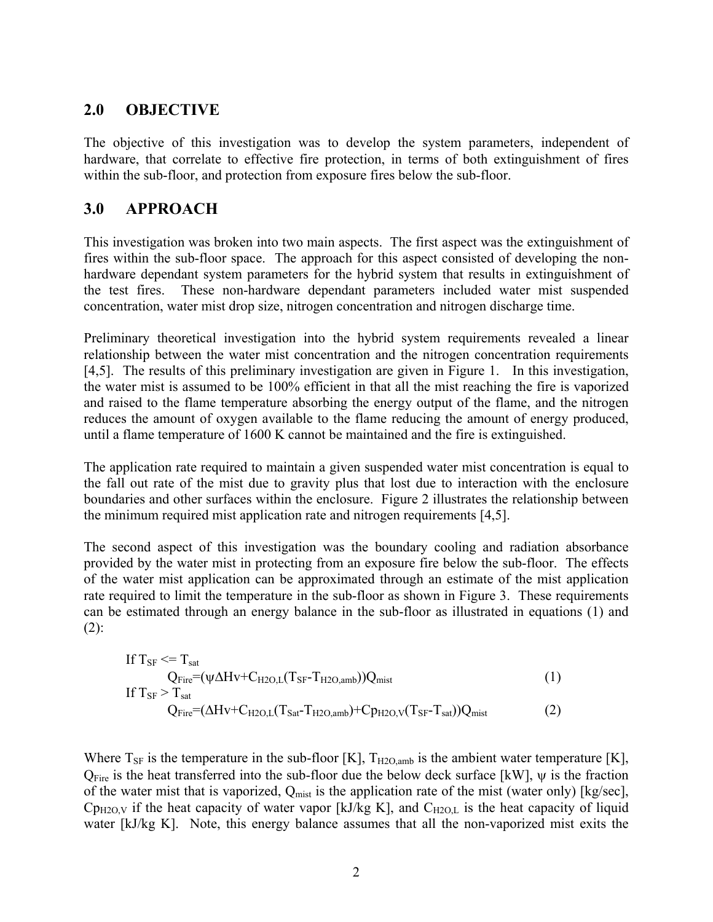## **2.0 OBJECTIVE**

The objective of this investigation was to develop the system parameters, independent of hardware, that correlate to effective fire protection, in terms of both extinguishment of fires within the sub-floor, and protection from exposure fires below the sub-floor.

## **3.0 APPROACH**

This investigation was broken into two main aspects. The first aspect was the extinguishment of fires within the sub-floor space. The approach for this aspect consisted of developing the nonhardware dependant system parameters for the hybrid system that results in extinguishment of the test fires. These non-hardware dependant parameters included water mist suspended concentration, water mist drop size, nitrogen concentration and nitrogen discharge time.

Preliminary theoretical investigation into the hybrid system requirements revealed a linear relationship between the water mist concentration and the nitrogen concentration requirements [4,5]. The results of this preliminary investigation are given in Figure 1. In this investigation, the water mist is assumed to be 100% efficient in that all the mist reaching the fire is vaporized and raised to the flame temperature absorbing the energy output of the flame, and the nitrogen reduces the amount of oxygen available to the flame reducing the amount of energy produced, until a flame temperature of 1600 K cannot be maintained and the fire is extinguished.

The application rate required to maintain a given suspended water mist concentration is equal to the fall out rate of the mist due to gravity plus that lost due to interaction with the enclosure boundaries and other surfaces within the enclosure. Figure 2 illustrates the relationship between the minimum required mist application rate and nitrogen requirements [4,5].

The second aspect of this investigation was the boundary cooling and radiation absorbance provided by the water mist in protecting from an exposure fire below the sub-floor. The effects of the water mist application can be approximated through an estimate of the mist application rate required to limit the temperature in the sub-floor as shown in Figure 3. These requirements can be estimated through an energy balance in the sub-floor as illustrated in equations (1) and  $(2)$ :

If 
$$
T_{SF} \leq T_{sat}
$$
\n $Q_{Fire} = (\psi \Delta H v + C_{H2O,L}(T_{SF} - T_{H2O,amb}))Q_{mist}$ \n\nIf  $T_{SF} > T_{sat}$ \n $Q_{Fire} = (\Delta H v + C_{H2O,L}(T_{Sat} - T_{H2O,amb}) + C_{PH2O,V}(T_{SF} - T_{sat}))Q_{mist}$ \n $(2)$ 

Where  $T_{SF}$  is the temperature in the sub-floor [K],  $T_{H2O,amb}$  is the ambient water temperature [K],  $Q_{\text{Fire}}$  is the heat transferred into the sub-floor due the below deck surface [kW],  $\psi$  is the fraction of the water mist that is vaporized,  $Q_{\text{mist}}$  is the application rate of the mist (water only) [kg/sec],  $Cp_{H2O,V}$  if the heat capacity of water vapor [kJ/kg K], and  $C_{H2O,L}$  is the heat capacity of liquid water [kJ/kg K]. Note, this energy balance assumes that all the non-vaporized mist exits the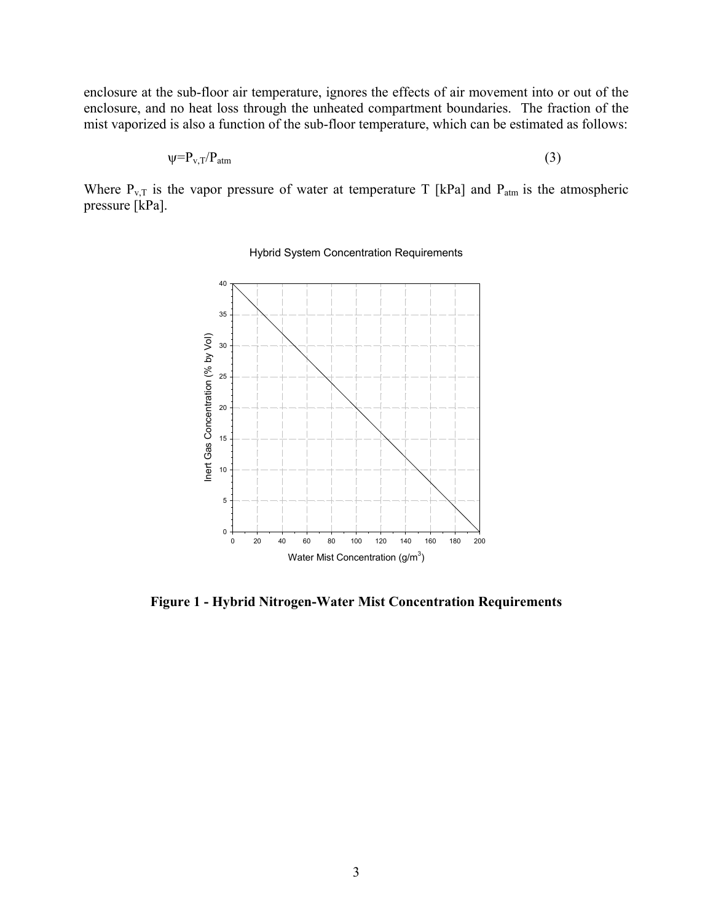enclosure at the sub-floor air temperature, ignores the effects of air movement into or out of the enclosure, and no heat loss through the unheated compartment boundaries. The fraction of the mist vaporized is also a function of the sub-floor temperature, which can be estimated as follows:

$$
\psi = P_{v,T}/P_{atm} \tag{3}
$$

Where  $P_{v,T}$  is the vapor pressure of water at temperature T [kPa] and  $P_{atm}$  is the atmospheric pressure [kPa].



Hybrid System Concentration Requirements

**Figure 1 - Hybrid Nitrogen-Water Mist Concentration Requirements**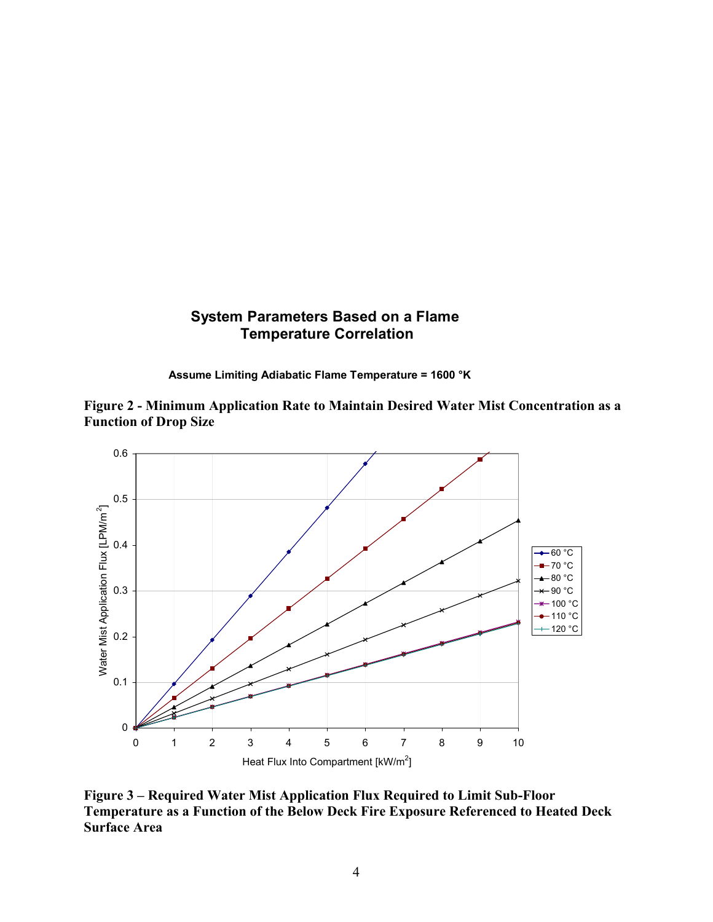## **System Parameters Based on a Flame Temperature Correlation**

**Assume Limiting Adiabatic Flame Temperature = 1600 °K**





**Figure 3 – Required Water Mist Application Flux Required to Limit Sub-Floor Temperature as a Function of the Below Deck Fire Exposure Referenced to Heated Deck Surface Area**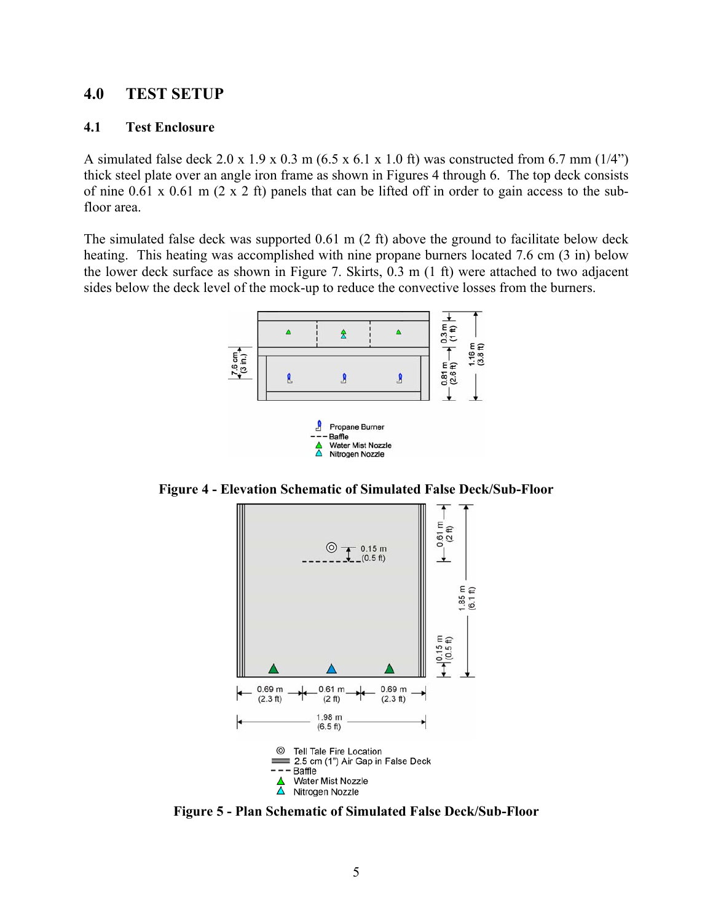#### **4.0 TEST SETUP**

#### **4.1 Test Enclosure**

A simulated false deck 2.0 x 1.9 x 0.3 m (6.5 x 6.1 x 1.0 ft) was constructed from 6.7 mm (1/4") thick steel plate over an angle iron frame as shown in Figures 4 through 6. The top deck consists of nine 0.61 x 0.61 m (2 x 2 ft) panels that can be lifted off in order to gain access to the subfloor area.

The simulated false deck was supported 0.61 m (2 ft) above the ground to facilitate below deck heating. This heating was accomplished with nine propane burners located 7.6 cm (3 in) below the lower deck surface as shown in Figure 7. Skirts, 0.3 m (1 ft) were attached to two adjacent sides below the deck level of the mock-up to reduce the convective losses from the burners.



**Figure 4 - Elevation Schematic of Simulated False Deck/Sub-Floor** 



**Figure 5 - Plan Schematic of Simulated False Deck/Sub-Floor**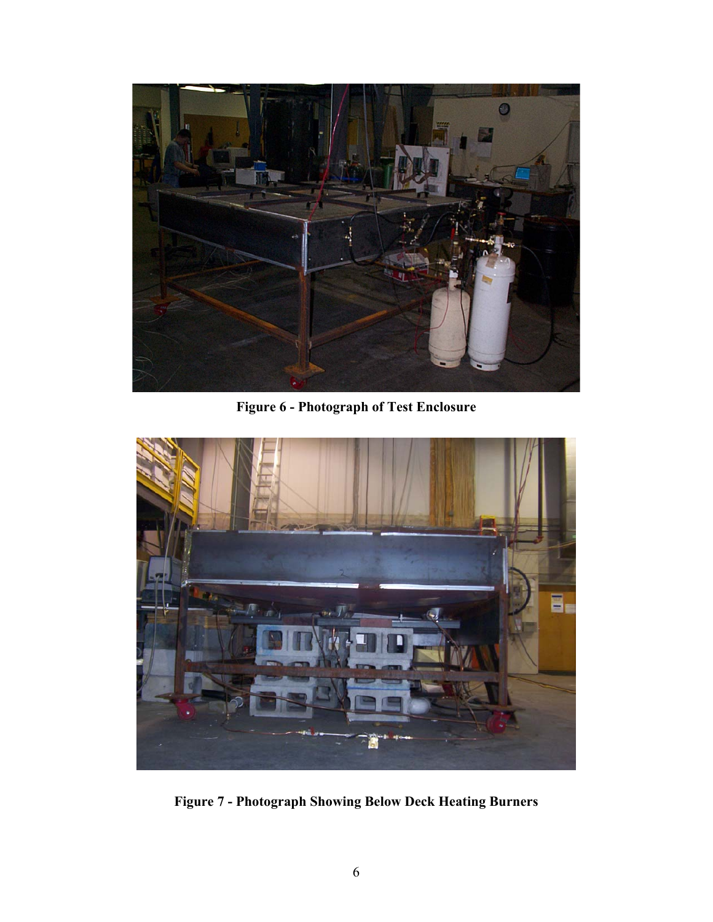

**Figure 6 - Photograph of Test Enclosure** 



**Figure 7 - Photograph Showing Below Deck Heating Burners**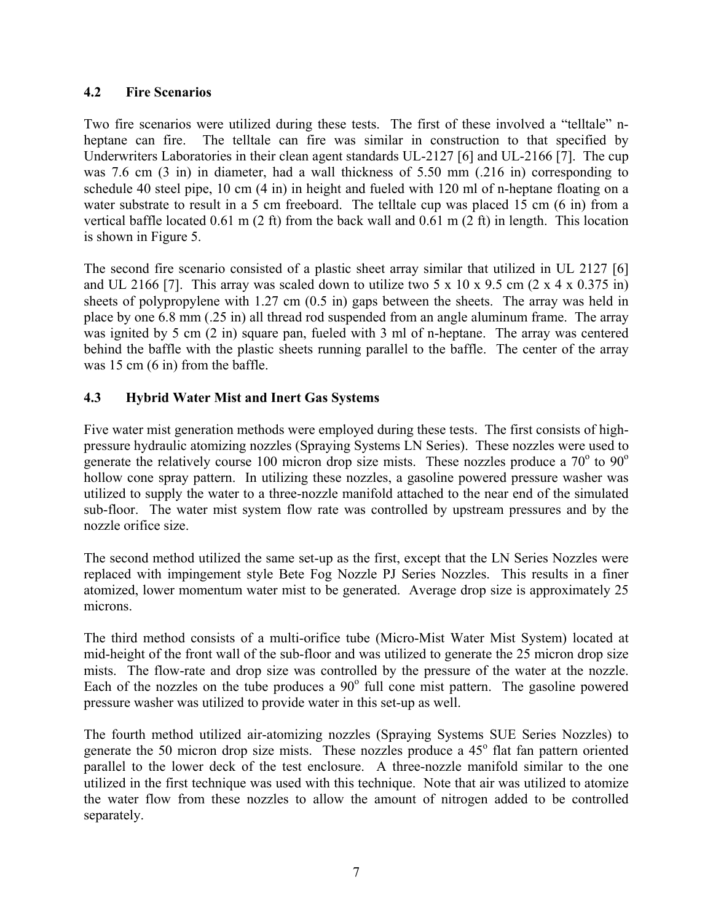#### **4.2 Fire Scenarios**

Two fire scenarios were utilized during these tests. The first of these involved a "telltale" nheptane can fire. The telltale can fire was similar in construction to that specified by Underwriters Laboratories in their clean agent standards UL-2127 [6] and UL-2166 [7]. The cup was 7.6 cm (3 in) in diameter, had a wall thickness of 5.50 mm (.216 in) corresponding to schedule 40 steel pipe, 10 cm (4 in) in height and fueled with 120 ml of n-heptane floating on a water substrate to result in a 5 cm freeboard. The telltale cup was placed 15 cm (6 in) from a vertical baffle located 0.61 m (2 ft) from the back wall and 0.61 m (2 ft) in length. This location is shown in Figure 5.

 The second fire scenario consisted of a plastic sheet array similar that utilized in UL 2127 [6] and UL 2166 [7]. This array was scaled down to utilize two 5 x 10 x 9.5 cm  $(2 \times 4 \times 0.375 \text{ in})$ sheets of polypropylene with 1.27 cm (0.5 in) gaps between the sheets. The array was held in place by one 6.8 mm (.25 in) all thread rod suspended from an angle aluminum frame. The array was ignited by 5 cm (2 in) square pan, fueled with 3 ml of n-heptane. The array was centered behind the baffle with the plastic sheets running parallel to the baffle. The center of the array was 15 cm  $(6 \text{ in})$  from the baffle.

## **4.3 Hybrid Water Mist and Inert Gas Systems**

Five water mist generation methods were employed during these tests. The first consists of highpressure hydraulic atomizing nozzles (Spraying Systems LN Series). These nozzles were used to generate the relatively course 100 micron drop size mists. These nozzles produce a  $70^{\circ}$  to  $90^{\circ}$ hollow cone spray pattern. In utilizing these nozzles, a gasoline powered pressure washer was utilized to supply the water to a three-nozzle manifold attached to the near end of the simulated sub-floor. The water mist system flow rate was controlled by upstream pressures and by the nozzle orifice size.

The second method utilized the same set-up as the first, except that the LN Series Nozzles were replaced with impingement style Bete Fog Nozzle PJ Series Nozzles. This results in a finer atomized, lower momentum water mist to be generated. Average drop size is approximately 25 microns.

The third method consists of a multi-orifice tube (Micro-Mist Water Mist System) located at mid-height of the front wall of the sub-floor and was utilized to generate the 25 micron drop size mists. The flow-rate and drop size was controlled by the pressure of the water at the nozzle. Each of the nozzles on the tube produces a  $90^\circ$  full cone mist pattern. The gasoline powered pressure washer was utilized to provide water in this set-up as well.

The fourth method utilized air-atomizing nozzles (Spraying Systems SUE Series Nozzles) to generate the 50 micron drop size mists. These nozzles produce a 45° flat fan pattern oriented parallel to the lower deck of the test enclosure. A three-nozzle manifold similar to the one utilized in the first technique was used with this technique. Note that air was utilized to atomize the water flow from these nozzles to allow the amount of nitrogen added to be controlled separately.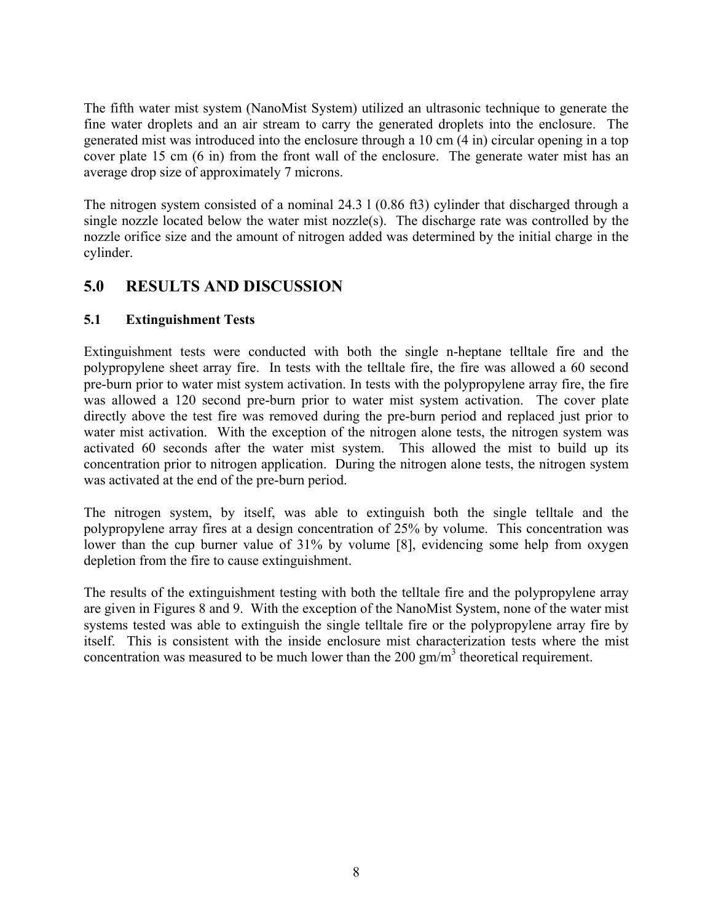The fifth water mist system (NanoMist System) utilized an ultrasonic technique to generate the fine water droplets and an air stream to carry the generated droplets into the enclosure. The generated mist was introduced into the enclosure through a 10 cm (4 in) circular opening in a top cover plate 15 cm (6 in) from the front wall of the enclosure. The generate water mist has an average drop size of approximately 7 microns.

The nitrogen system consisted of a nominal 24.3 l (0.86 ft3) cylinder that discharged through a single nozzle located below the water mist nozzle(s). The discharge rate was controlled by the nozzle orifice size and the amount of nitrogen added was determined by the initial charge in the cylinder.

# **5.0 RESULTS AND DISCUSSION**

## **5.1 Extinguishment Tests**

Extinguishment tests were conducted with both the single n-heptane telltale fire and the polypropylene sheet array fire. In tests with the telltale fire, the fire was allowed a 60 second pre-burn prior to water mist system activation. In tests with the polypropylene array fire, the fire was allowed a 120 second pre-burn prior to water mist system activation. The cover plate directly above the test fire was removed during the pre-burn period and replaced just prior to water mist activation. With the exception of the nitrogen alone tests, the nitrogen system was activated 60 seconds after the water mist system. This allowed the mist to build up its concentration prior to nitrogen application. During the nitrogen alone tests, the nitrogen system was activated at the end of the pre-burn period.

The nitrogen system, by itself, was able to extinguish both the single telltale and the polypropylene array fires at a design concentration of 25% by volume. This concentration was lower than the cup burner value of 31% by volume [8], evidencing some help from oxygen depletion from the fire to cause extinguishment.

The results of the extinguishment testing with both the telltale fire and the polypropylene array are given in Figures 8 and 9. With the exception of the NanoMist System, none of the water mist systems tested was able to extinguish the single telltale fire or the polypropylene array fire by itself. This is consistent with the inside enclosure mist characterization tests where the mist concentration was measured to be much lower than the 200 gm/m<sup>3</sup> theoretical requirement.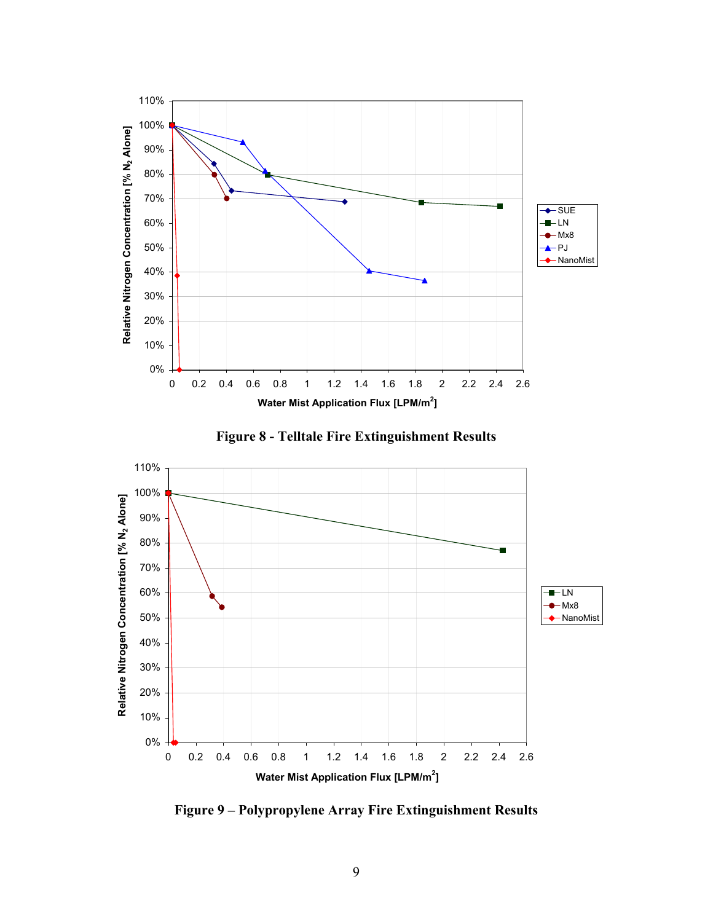

**Figure 8 - Telltale Fire Extinguishment Results** 



**Figure 9 – Polypropylene Array Fire Extinguishment Results**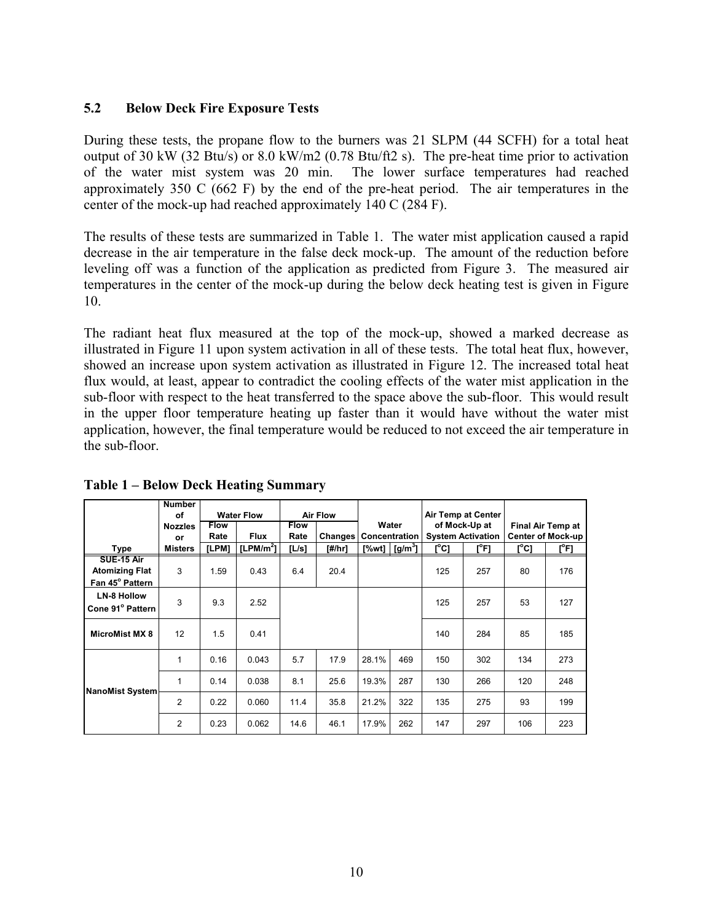#### **5.2 Below Deck Fire Exposure Tests**

During these tests, the propane flow to the burners was 21 SLPM (44 SCFH) for a total heat output of 30 kW (32 Btu/s) or 8.0 kW/m2 (0.78 Btu/ft2 s). The pre-heat time prior to activation of the water mist system was 20 min. The lower surface temperatures had reached approximately 350 C (662 F) by the end of the pre-heat period. The air temperatures in the center of the mock-up had reached approximately 140 C (284 F).

The results of these tests are summarized in Table 1. The water mist application caused a rapid decrease in the air temperature in the false deck mock-up. The amount of the reduction before leveling off was a function of the application as predicted from Figure 3. The measured air temperatures in the center of the mock-up during the below deck heating test is given in Figure 10.

The radiant heat flux measured at the top of the mock-up, showed a marked decrease as illustrated in Figure 11 upon system activation in all of these tests. The total heat flux, however, showed an increase upon system activation as illustrated in Figure 12. The increased total heat flux would, at least, appear to contradict the cooling effects of the water mist application in the sub-floor with respect to the heat transferred to the space above the sub-floor. This would result in the upper floor temperature heating up faster than it would have without the water mist application, however, the final temperature would be reduced to not exceed the air temperature in the sub-floor.

|                        | <b>Number</b>  |                   |              |                 |         |               |                                                  |                           |         |                          |         |
|------------------------|----------------|-------------------|--------------|-----------------|---------|---------------|--------------------------------------------------|---------------------------|---------|--------------------------|---------|
|                        | of             | <b>Water Flow</b> |              | <b>Air Flow</b> |         |               |                                                  | <b>Air Temp at Center</b> |         |                          |         |
|                        | <b>Nozzles</b> | <b>Flow</b>       |              | <b>Flow</b>     |         | Water         |                                                  | of Mock-Up at             |         | Final Air Temp at        |         |
|                        | or             | Rate              | <b>Flux</b>  | Rate            | Changes | Concentration |                                                  | <b>System Activation</b>  |         | <b>Center of Mock-up</b> |         |
| Type                   | Misters        | [LPM]             | [LPM/ $m2$ ] | [L/s]           | [#/hr]  |               | [%wt] $\left[\frac{\text{g}}{\text{m}^3}\right]$ | $[^{\circ}C]$             | $[^oF]$ | [°C]                     | $[^oF]$ |
| SUE-15 Air             |                |                   |              |                 |         |               |                                                  |                           |         |                          |         |
| <b>Atomizing Flat</b>  | 3              | 1.59              | 0.43         | 6.4             | 20.4    |               |                                                  | 125                       | 257     | 80                       | 176     |
| Fan 45° Pattern        |                |                   |              |                 |         |               |                                                  |                           |         |                          |         |
| <b>LN-8 Hollow</b>     |                |                   |              |                 |         |               |                                                  |                           |         |                          |         |
| Cone 91° Pattern       | 3              | 9.3               | 2.52         |                 |         |               |                                                  | 125                       | 257     | 53                       | 127     |
|                        |                |                   |              |                 |         |               |                                                  |                           |         |                          |         |
| <b>MicroMist MX 8</b>  | 12             | 1.5               | 0.41         |                 |         |               |                                                  | 140                       | 284     | 85                       | 185     |
|                        |                |                   |              |                 |         |               |                                                  |                           |         |                          |         |
|                        | 1              | 0.16              | 0.043        | 5.7             | 17.9    | 28.1%         | 469                                              | 150                       | 302     | 134                      | 273     |
| <b>NanoMist System</b> |                |                   |              |                 |         |               |                                                  |                           |         |                          |         |
|                        | $\mathbf 1$    | 0.14              | 0.038        | 8.1             | 25.6    | 19.3%         | 287                                              | 130                       | 266     | 120                      | 248     |
|                        |                |                   |              |                 |         |               |                                                  |                           |         |                          |         |
|                        | $\overline{2}$ | 0.22              | 0.060        | 11.4            | 35.8    | 21.2%         | 322                                              | 135                       | 275     | 93                       | 199     |
|                        | $\overline{2}$ | 0.23              | 0.062        | 14.6            | 46.1    | 17.9%         | 262                                              | 147                       | 297     | 106                      | 223     |

**Table 1 – Below Deck Heating Summary**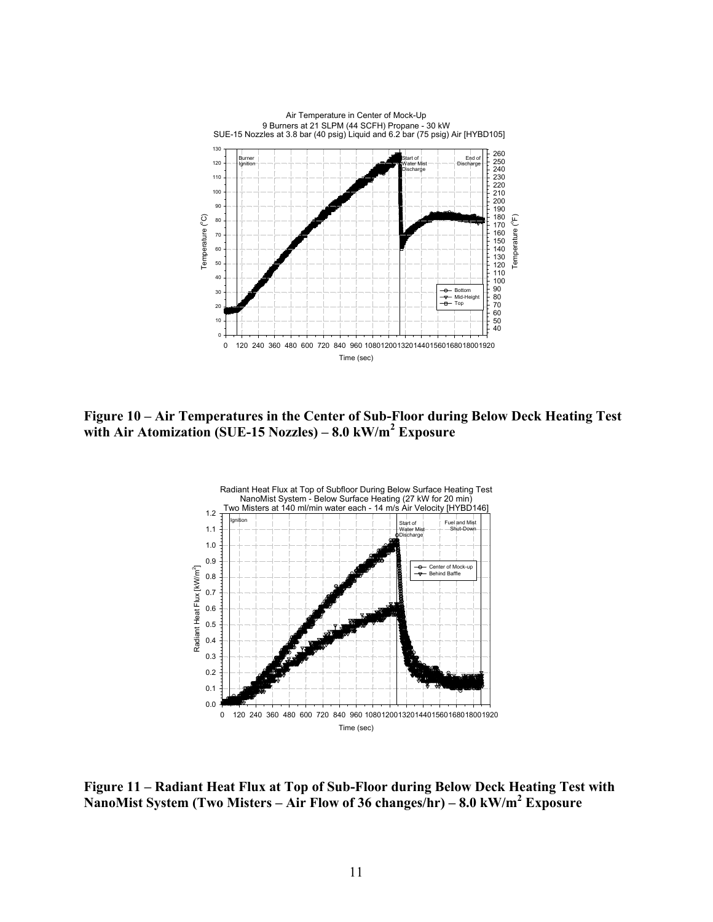

**Figure 10 – Air Temperatures in the Center of Sub-Floor during Below Deck Heating Test with Air Atomization (SUE-15 Nozzles) – 8.0 kW/m<sup>2</sup> Exposure** 



**Figure 11 – Radiant Heat Flux at Top of Sub-Floor during Below Deck Heating Test with NanoMist System (Two Misters – Air Flow of 36 changes/hr) – 8.0 kW/m<sup>2</sup> Exposure**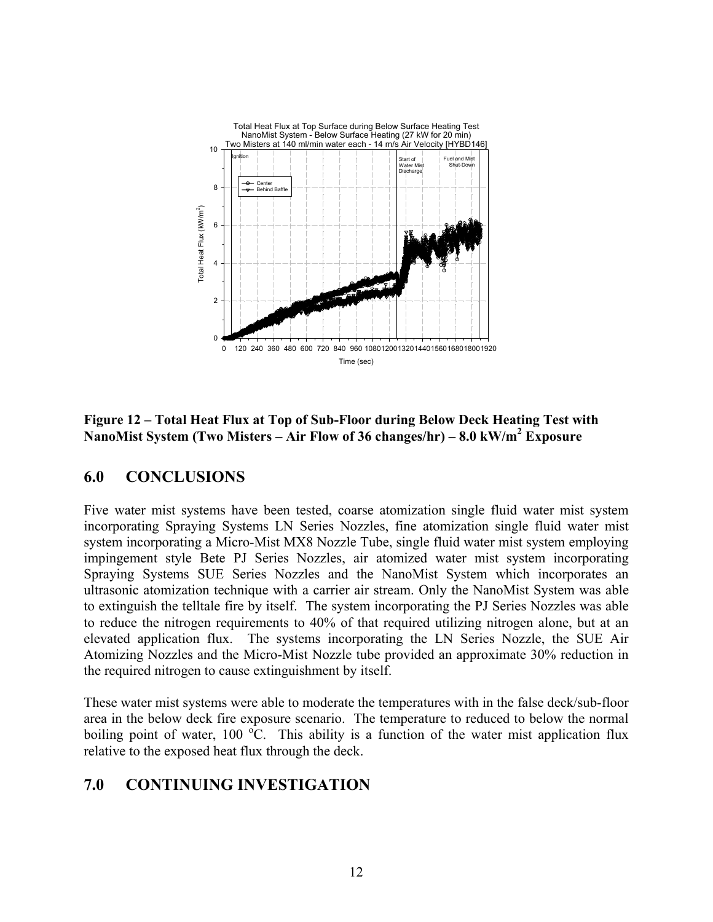

**Figure 12 – Total Heat Flux at Top of Sub-Floor during Below Deck Heating Test with NanoMist System (Two Misters – Air Flow of 36 changes/hr) – 8.0 kW/m<sup>2</sup> Exposure** 

## **6.0 CONCLUSIONS**

Five water mist systems have been tested, coarse atomization single fluid water mist system incorporating Spraying Systems LN Series Nozzles, fine atomization single fluid water mist system incorporating a Micro-Mist MX8 Nozzle Tube, single fluid water mist system employing impingement style Bete PJ Series Nozzles, air atomized water mist system incorporating Spraying Systems SUE Series Nozzles and the NanoMist System which incorporates an ultrasonic atomization technique with a carrier air stream. Only the NanoMist System was able to extinguish the telltale fire by itself. The system incorporating the PJ Series Nozzles was able to reduce the nitrogen requirements to 40% of that required utilizing nitrogen alone, but at an elevated application flux. The systems incorporating the LN Series Nozzle, the SUE Air Atomizing Nozzles and the Micro-Mist Nozzle tube provided an approximate 30% reduction in the required nitrogen to cause extinguishment by itself.

These water mist systems were able to moderate the temperatures with in the false deck/sub-floor area in the below deck fire exposure scenario. The temperature to reduced to below the normal boiling point of water, 100  $\rm{^oC}$ . This ability is a function of the water mist application flux relative to the exposed heat flux through the deck.

## **7.0 CONTINUING INVESTIGATION**